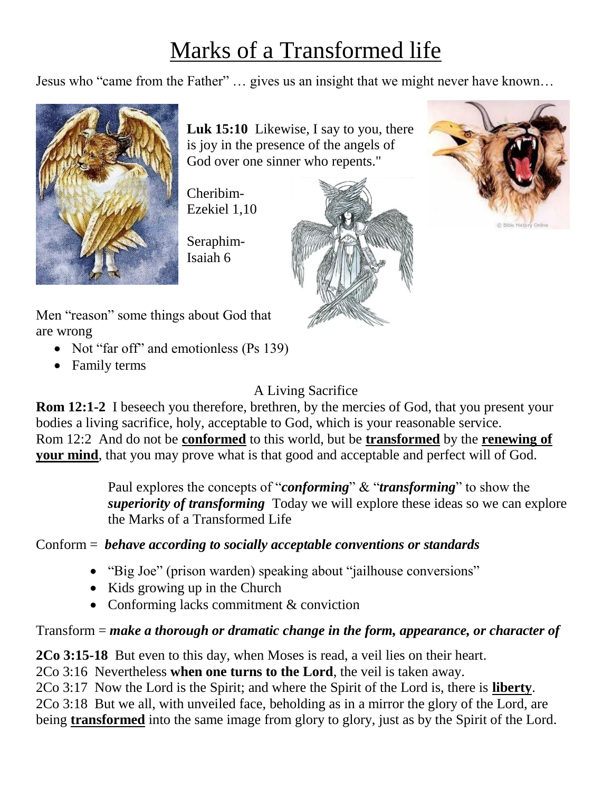# Marks of a Transformed life

Jesus who "came from the Father" … gives us an insight that we might never have known…



**Luk 15:10** Likewise, I say to you, there is joy in the presence of the angels of God over one sinner who repents."

Cheribim-Ezekiel 1,10

Seraphim-Isaiah 6





Men "reason" some things about God that are wrong

- Not "far off" and emotionless (Ps 139)
- Family terms

## A Living Sacrifice

**Rom 12:1-2** I beseech you therefore, brethren, by the mercies of God, that you present your bodies a living sacrifice, holy, acceptable to God, which is your reasonable service. Rom 12:2 And do not be **conformed** to this world, but be **transformed** by the **renewing of your mind**, that you may prove what is that good and acceptable and perfect will of God.

> Paul explores the concepts of "*conforming*" & "*transforming*" to show the *superiority of transforming* Today we will explore these ideas so we can explore the Marks of a Transformed Life

## Conform = *behave according to socially acceptable conventions or standards*

- "Big Joe" (prison warden) speaking about "jailhouse conversions"
- $\bullet$  Kids growing up in the Church
- Conforming lacks commitment & conviction

Transform = *make a thorough or dramatic change in the form, appearance, or character of*

**2Co 3:15-18** But even to this day, when Moses is read, a veil lies on their heart.

2Co 3:16 Nevertheless **when one turns to the Lord**, the veil is taken away.

2Co 3:17 Now the Lord is the Spirit; and where the Spirit of the Lord is, there is **liberty**.

2Co 3:18 But we all, with unveiled face, beholding as in a mirror the glory of the Lord, are being **transformed** into the same image from glory to glory, just as by the Spirit of the Lord.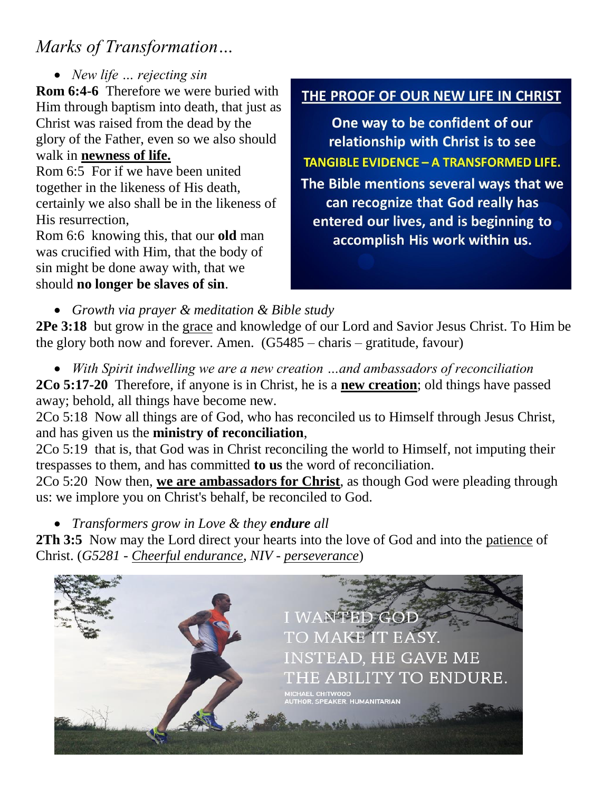## *Marks of Transformation…*

*New life … rejecting sin*

**Rom 6:4-6** Therefore we were buried with Him through baptism into death, that just as Christ was raised from the dead by the glory of the Father, even so we also should walk in **newness of life.**

Rom 6:5 For if we have been united together in the likeness of His death, certainly we also shall be in the likeness of His resurrection,

Rom 6:6 knowing this, that our **old** man was crucified with Him, that the body of sin might be done away with, that we should **no longer be slaves of sin**.

### THE PROOF OF OUR NEW LIFE IN CHRIST

One way to be confident of our relationship with Christ is to see **TANGIBLE EVIDENCE - A TRANSFORMED LIFE.** The Bible mentions several ways that we can recognize that God really has entered our lives, and is beginning to accomplish His work within us.

*Growth via prayer & meditation & Bible study*

**2Pe 3:18** but grow in the grace and knowledge of our Lord and Savior Jesus Christ. To Him be the glory both now and forever. Amen.  $(G5485 - \text{charis} - \text{gratitude}, \text{favor})$ 

*With Spirit indwelling we are a new creation …and ambassadors of reconciliation*

**2Co 5:17-20** Therefore, if anyone is in Christ, he is a **new creation**; old things have passed away; behold, all things have become new.

2Co 5:18 Now all things are of God, who has reconciled us to Himself through Jesus Christ, and has given us the **ministry of reconciliation**,

2Co 5:19 that is, that God was in Christ reconciling the world to Himself, not imputing their trespasses to them, and has committed **to us** the word of reconciliation.

2Co 5:20 Now then, **we are ambassadors for Christ**, as though God were pleading through us: we implore you on Christ's behalf, be reconciled to God.

*Transformers grow in Love & they endure all*

**2Th 3:5** Now may the Lord direct your hearts into the love of God and into the patience of Christ. (*G5281 - Cheerful endurance, NIV - perseverance*)

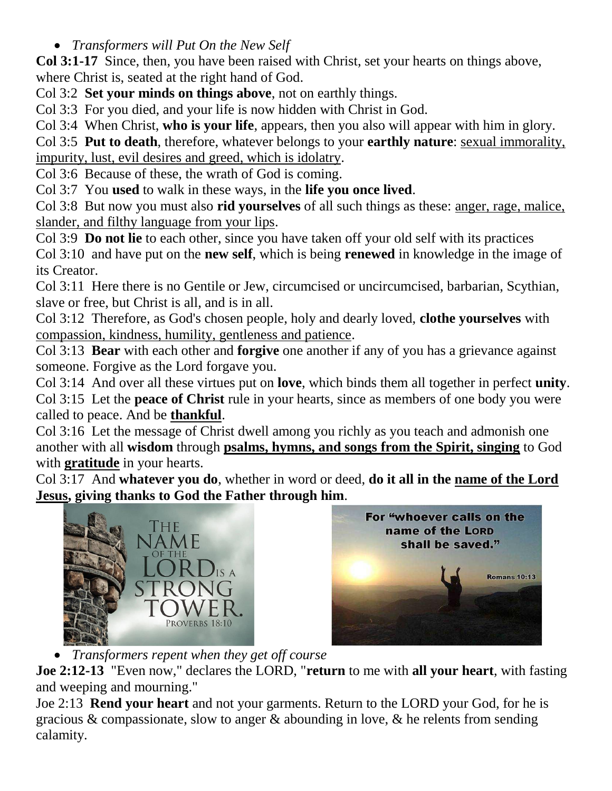*Transformers will Put On the New Self*

**Col 3:1-17** Since, then, you have been raised with Christ, set your hearts on things above, where Christ is, seated at the right hand of God.

Col 3:2 **Set your minds on things above**, not on earthly things.

Col 3:3 For you died, and your life is now hidden with Christ in God.

Col 3:4 When Christ, **who is your life**, appears, then you also will appear with him in glory.

Col 3:5 **Put to death**, therefore, whatever belongs to your **earthly nature**: sexual immorality, impurity, lust, evil desires and greed, which is idolatry.

Col 3:6 Because of these, the wrath of God is coming.

Col 3:7 You **used** to walk in these ways, in the **life you once lived**.

Col 3:8 But now you must also **rid yourselves** of all such things as these: anger, rage, malice, slander, and filthy language from your lips.

Col 3:9 **Do not lie** to each other, since you have taken off your old self with its practices

Col 3:10 and have put on the **new self**, which is being **renewed** in knowledge in the image of its Creator.

Col 3:11 Here there is no Gentile or Jew, circumcised or uncircumcised, barbarian, Scythian, slave or free, but Christ is all, and is in all.

Col 3:12 Therefore, as God's chosen people, holy and dearly loved, **clothe yourselves** with compassion, kindness, humility, gentleness and patience.

Col 3:13 **Bear** with each other and **forgive** one another if any of you has a grievance against someone. Forgive as the Lord forgave you.

Col 3:14 And over all these virtues put on **love**, which binds them all together in perfect **unity**.

Col 3:15 Let the **peace of Christ** rule in your hearts, since as members of one body you were called to peace. And be **thankful**.

Col 3:16 Let the message of Christ dwell among you richly as you teach and admonish one another with all **wisdom** through **psalms, hymns, and songs from the Spirit, singing** to God with **gratitude** in your hearts.

Col 3:17 And **whatever you do**, whether in word or deed, **do it all in the name of the Lord Jesus, giving thanks to God the Father through him**.





*Transformers repent when they get off course*

**Joe 2:12-13** "Even now," declares the LORD, "**return** to me with **all your heart**, with fasting and weeping and mourning."

Joe 2:13 **Rend your heart** and not your garments. Return to the LORD your God, for he is gracious & compassionate, slow to anger & abounding in love, & he relents from sending calamity.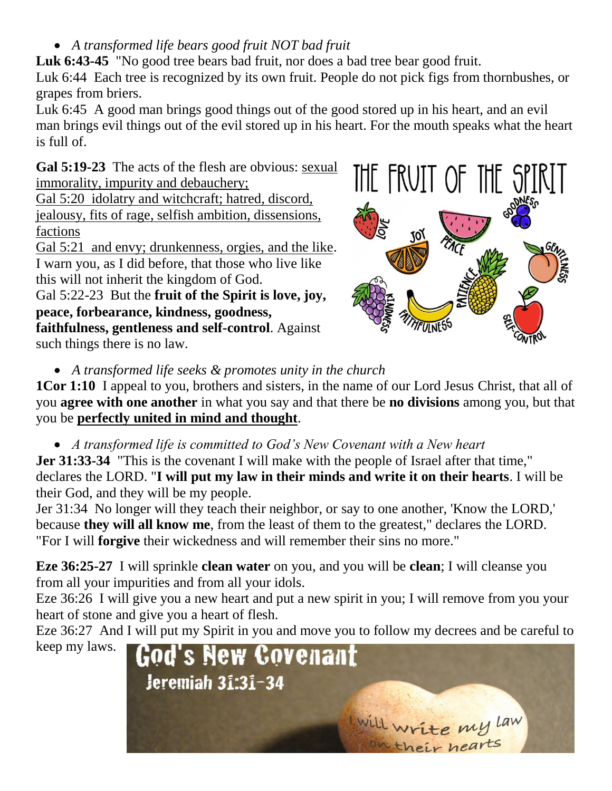*A transformed life bears good fruit NOT bad fruit*

Luk 6:43-45 "No good tree bears bad fruit, nor does a bad tree bear good fruit.

Luk 6:44 Each tree is recognized by its own fruit. People do not pick figs from thornbushes, or grapes from briers.

Luk 6:45 A good man brings good things out of the good stored up in his heart, and an evil man brings evil things out of the evil stored up in his heart. For the mouth speaks what the heart is full of.

**Gal 5:19-23** The acts of the flesh are obvious: sexual immorality, impurity and debauchery;

Gal 5:20 idolatry and witchcraft; hatred, discord, jealousy, fits of rage, selfish ambition, dissensions, factions

Gal 5:21 and envy; drunkenness, orgies, and the like. I warn you, as I did before, that those who live like this will not inherit the kingdom of God.

Gal 5:22-23 But the **fruit of the Spirit is love, joy, peace, forbearance, kindness, goodness, faithfulness, gentleness and self-control**. Against such things there is no law.



*A transformed life seeks & promotes unity in the church* 

**1Cor 1:10** I appeal to you, brothers and sisters, in the name of our Lord Jesus Christ, that all of you **agree with one another** in what you say and that there be **no divisions** among you, but that you be **perfectly united in mind and thought**.

*A transformed life is committed to God's New Covenant with a New heart*

**Jer 31:33-34** "This is the covenant I will make with the people of Israel after that time," declares the LORD. "**I will put my law in their minds and write it on their hearts**. I will be their God, and they will be my people.

Jer 31:34 No longer will they teach their neighbor, or say to one another, 'Know the LORD,' because **they will all know me**, from the least of them to the greatest," declares the LORD. "For I will **forgive** their wickedness and will remember their sins no more."

**Eze 36:25-27** I will sprinkle **clean water** on you, and you will be **clean**; I will cleanse you from all your impurities and from all your idols.

Eze 36:26 I will give you a new heart and put a new spirit in you; I will remove from you your heart of stone and give you a heart of flesh.

Eze 36:27 And I will put my Spirit in you and move you to follow my decrees and be careful to



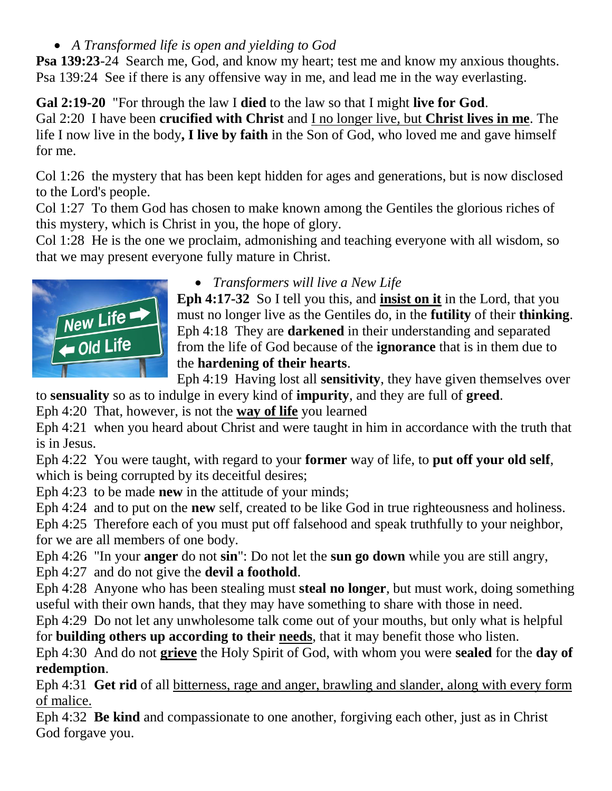*A Transformed life is open and yielding to God*

**Psa 139:23**-24 Search me, God, and know my heart; test me and know my anxious thoughts. Psa 139:24 See if there is any offensive way in me, and lead me in the way everlasting.

**Gal 2:19-20** "For through the law I **died** to the law so that I might **live for God**. Gal 2:20 I have been **crucified with Christ** and I no longer live, but **Christ lives in me**. The life I now live in the body**, I live by faith** in the Son of God, who loved me and gave himself for me.

Col 1:26 the mystery that has been kept hidden for ages and generations, but is now disclosed to the Lord's people.

Col 1:27 To them God has chosen to make known among the Gentiles the glorious riches of this mystery, which is Christ in you, the hope of glory.

Col 1:28 He is the one we proclaim, admonishing and teaching everyone with all wisdom, so that we may present everyone fully mature in Christ.



### *Transformers will live a New Life*

**Eph 4:17-32** So I tell you this, and **insist on it** in the Lord, that you must no longer live as the Gentiles do, in the **futility** of their **thinking**. Eph 4:18 They are **darkened** in their understanding and separated from the life of God because of the **ignorance** that is in them due to the **hardening of their hearts**.

Eph 4:19 Having lost all **sensitivity**, they have given themselves over to **sensuality** so as to indulge in every kind of **impurity**, and they are full of **greed**.

Eph 4:20 That, however, is not the **way of life** you learned

Eph 4:21 when you heard about Christ and were taught in him in accordance with the truth that is in Jesus.

Eph 4:22 You were taught, with regard to your **former** way of life, to **put off your old self**, which is being corrupted by its deceitful desires;

Eph 4:23 to be made **new** in the attitude of your minds;

Eph 4:24 and to put on the **new** self, created to be like God in true righteousness and holiness.

Eph 4:25 Therefore each of you must put off falsehood and speak truthfully to your neighbor, for we are all members of one body.

Eph 4:26 "In your **anger** do not **sin**": Do not let the **sun go down** while you are still angry, Eph 4:27 and do not give the **devil a foothold**.

Eph 4:28 Anyone who has been stealing must **steal no longer**, but must work, doing something useful with their own hands, that they may have something to share with those in need.

Eph 4:29 Do not let any unwholesome talk come out of your mouths, but only what is helpful for **building others up according to their needs**, that it may benefit those who listen.

Eph 4:30 And do not **grieve** the Holy Spirit of God, with whom you were **sealed** for the **day of redemption**.

Eph 4:31 **Get rid** of all bitterness, rage and anger, brawling and slander, along with every form of malice.

Eph 4:32 **Be kind** and compassionate to one another, forgiving each other, just as in Christ God forgave you.